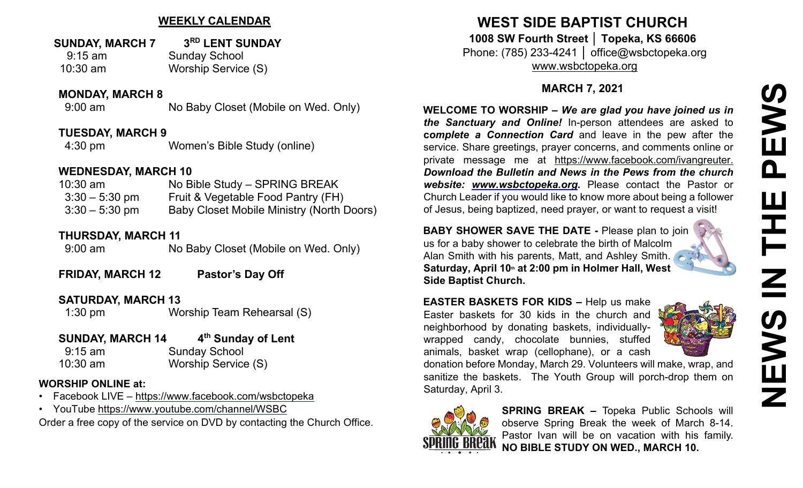## **WEEKLY CALENDAR**

#### **SUNDAY, MARCH 7 3RD LENT SUNDAY** 9:15 am Sunday School

10:30 am Worship Service (S)

#### **MONDAY, MARCH 8**

9:00 am No Baby Closet (Mobile on Wed. Only)

#### **TUESDAY, MARCH 9**

4:30 pm Women's Bible Study (online)

#### **WEDNESDAY, MARCH 10**

| $10:30$ am       | No Bible Study - SPRING BREAK                    |
|------------------|--------------------------------------------------|
| $3:30 - 5:30$ pm | Fruit & Vegetable Food Pantry (FH)               |
| $3:30 - 5:30$ pm | <b>Baby Closet Mobile Ministry (North Doors)</b> |

### **THURSDAY, MARCH 11**

9:00 am No Baby Closet (Mobile on Wed. Only)

**FRIDAY, MARCH 12 Pastor's Day Off**

#### **SATURDAY, MARCH 13**

1:30 pm Worship Team Rehearsal (S)

## **SUNDAY, MARCH 14 4th Sunday of Lent**

| $9:15$ am  | <b>Sunday School</b> |
|------------|----------------------|
| $10:30$ am | Worship Service (S)  |

#### **WORSHIP ONLINE at:**

- Facebook LIVE [–](https://www.facebook.com/wsbctopeka) <https://www.facebook.com/wsbctopeka>
- YouTub[e](https://www.youtube.com/channel/WSBC) <https://www.youtube.com/channel/WSBC>

Order a free copy of the service on DVD by contacting the Church Office.

## **WEST SIDE BAPTIST CHURCH 1008 SW Fourth Street │ Topeka, KS 66606** Phone: (785) 233-4241 │ office@wsbctopeka.org [www.wsbctopeka.org](http://www.wsbctopeka.org/)

## **MARCH 7, 2021**

**WELCOME TO WORSHIP –** *We are glad you have joined us in the Sanctuary and Online!* In-person attendees are asked to **c***omplete a Connection Card* and leave in the pew after the service. Share greetings, prayer concerns, and comments online or private message me at <https://www.facebook.com/ivangreuter.> *Download the Bulletin and News in the Pews from the church website: [www.wsbctopeka.org.](http://www.wsbctopeka.org/)* Please contact the Pastor or Church Leader if you would like to know more about being a follower of Jesus, being baptized, need prayer, or want to request a visit!

**BABY SHOWER SAVE THE DATE -** Please plan to join us for a baby shower to celebrate the birth of Malcolm Alan Smith with his parents, Matt, and Ashley Smith. **Saturday, April 10th at 2:00 pm in Holmer Hall, West Side Baptist Church.** 

**EASTER BASKETS FOR KIDS –** Help us make Easter baskets for 30 kids in the church and neighborhood by donating baskets, individuallywrapped candy, chocolate bunnies, stuffed animals, basket wrap (cellophane), or a cash



donation before Monday, March 29. Volunteers will make, wrap, and sanitize the baskets. The Youth Group will porch-drop them on Saturday, April 3.



**SPRING BREAK –** Topeka Public Schools will observe Spring Break the week of March 8-14. Pastor Ivan will be on vacation with his family. **NO BIBLE STUDY ON WED., MARCH 10.**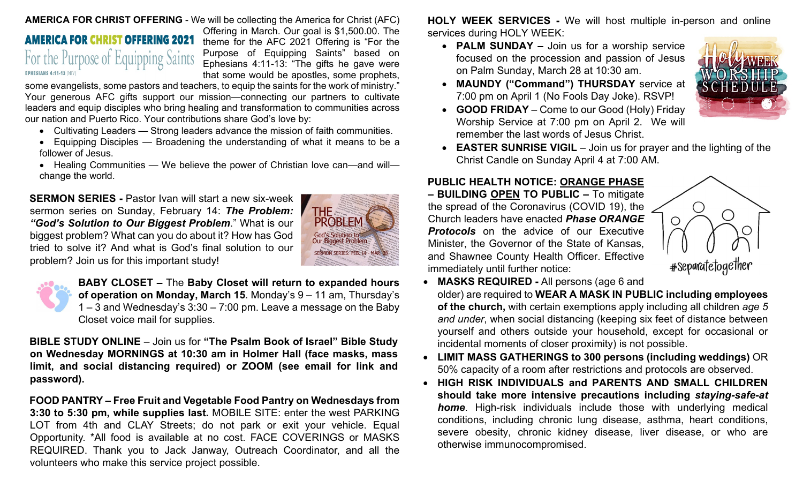#### **AMERICA FOR CHRIST OFFERING** - We will be collecting the America for Christ (AFC)

# **AMERICA FOR CHRIST OFFERING 2021** For the Purpose of Equipping Saints **EPHESIANS 4:11-13 (NIV)**

Offering in March. Our goal is \$1,500.00. The theme for the AFC 2021 Offering is "For the Purpose of Equipping Saints" based on Ephesians 4:11-13: "The gifts he gave were that some would be apostles, some prophets,

some evangelists, some pastors and teachers, to equip the saints for the work of ministry." Your generous AFC gifts support our mission—connecting our partners to cultivate leaders and equip disciples who bring healing and transformation to communities across our nation and Puerto Rico. Your contributions share God's love by:

- Cultivating Leaders Strong leaders advance the mission of faith communities.
- Equipping Disciples Broadening the understanding of what it means to be a follower of Jesus.
- Healing Communities We believe the power of Christian love can—and will change the world.

**SERMON SERIES -** Pastor Ivan will start a new six-week sermon series on Sunday, February 14: *The Problem: "God's Solution to Our Biggest Problem*." What is our biggest problem? What can you do about it? How has God tried to solve it? And what is God's final solution to our problem? Join us for this important study!





**BABY CLOSET –** The **Baby Closet will return to expanded hours of operation on Monday, March 15**. Monday's 9 – 11 am, Thursday's  $1 - 3$  and Wednesday's  $3:30 - 7:00$  pm. Leave a message on the Baby Closet voice mail for supplies.

**BIBLE STUDY ONLINE** – Join us for **"The Psalm Book of Israel" Bible Study on Wednesday MORNINGS at 10:30 am in Holmer Hall (face masks, mass limit, and social distancing required) or ZOOM (see email for link and password).** 

**FO[OD P](https://creativecommons.org/licenses/by-nc-nd/3.0/)ANTRY – Free Fruit and Vegetable Food Pantry on Wednesdays from 3:[30 to 5](https://creativecommons.org/licenses/by-nc-nd/3.0/):30 pm, while supplies last.** MOBILE SITE: enter the west PARKING L[OT fro](https://creativecommons.org/licenses/by-nc-nd/3.0/)m 4th and CLAY Streets; do not park or exit your vehicle. Equal Opportunity. \*All food is available at no cost. FACE COVERINGS or MASKS REQUIRED. Thank you to Jack Janway, Outreach Coordinator, and all the volunteers who make this service project possible.

**HOLY WEEK SERVICES -** We will host multiple in-person and online services during HOLY WEEK:

• **PALM SUNDAY –** Join us for a worship service focused on the procession and passion of Jesus on Palm Sunday, March 28 at 10:30 am.



- **MAUNDY ("Command") THURSDAY** service at 7:00 pm on April 1 (No Fools Day Joke). RSVP!
- **GOOD FRIDAY**  Come to our Good (Holy) Friday Worship Service at 7:00 pm on April 2. We will remember the last words of Jesus Christ.
- **EASTER SUNRISE VIGIL** Join us for prayer and the lighting of the Christ Candle on Sunday April 4 at 7:00 AM.

## **PUBLIC HEALTH NOTICE: ORANGE PHASE**

**– BUILDING OPEN TO PUBLIC –** To mitigate the spread of the Coronavirus (COVID 19), the Church leaders have enacted *Phase ORANGE Protocols* on the advice of our Executive Minister, the Governor of the State of Kansas, and Shawnee County Health Officer. Effective immediately until further notice:



• **MASKS REQUIRED -** All persons (age 6 and

older) are required to **WEAR A MASK IN PUBLIC including employees of the church,** with certain exemptions apply including all children *age 5 and under*, when social distancing (keeping six feet of distance between yourself and others outside your household, except for occasional or incidental moments of closer proximity) is not possible.

- **LIMIT MASS GATHERINGS to 300 persons (including weddings)** OR 50% capacity of a room after restrictions and protocols are observed.
- **HIGH RISK INDIVIDUALS and PARENTS AND SMALL CHILDREN should take more intensive precautions including** *staying-safe-at home*. High-risk individuals include those with underlying medical conditions, including chronic lung disease, asthma, heart conditions, severe obesity, chronic kidney disease, liver disease, or who are otherwise immunocompromised.